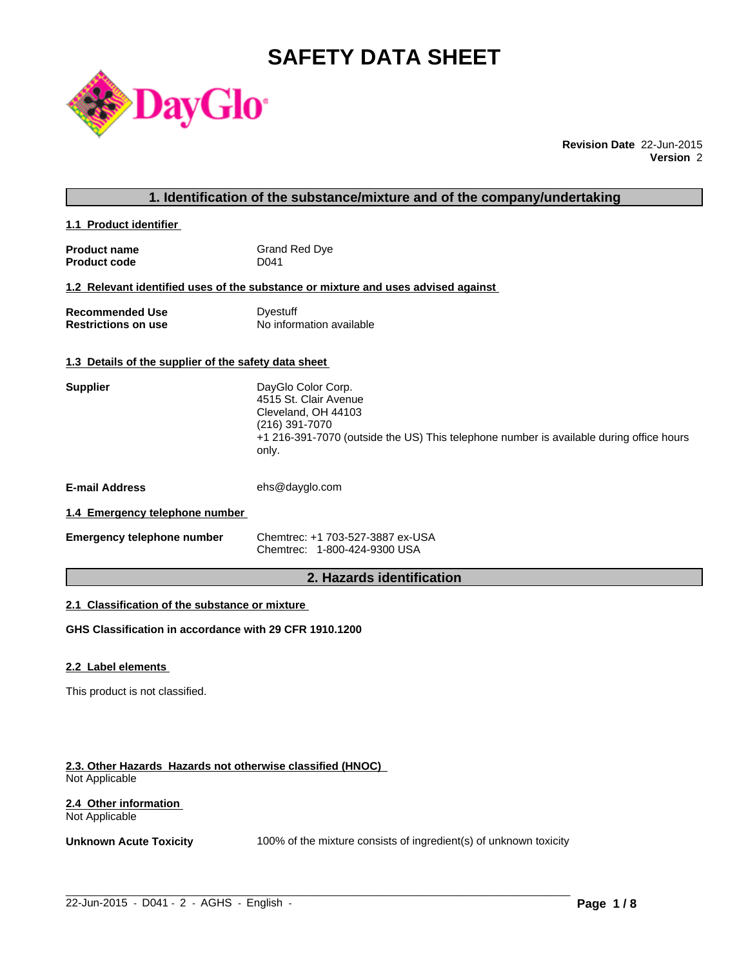# **SAFETY DATA SHEET**



**Revision Date** 22-Jun-2015 **Version** 2

### **1. Identification of the substance/mixture and of the company/undertaking**

**1.1 Product identifier** 

| <b>Product name</b> | Grand Red Dye |
|---------------------|---------------|
| <b>Product code</b> | D041          |

#### **1.2 Relevant identified uses of the substance or mixture and uses advised against**

| <b>Recommended Use</b>     | Dyestuff                 |
|----------------------------|--------------------------|
| <b>Restrictions on use</b> | No information available |

### **1.3 Details of the supplier of the safety data sheet**

| <b>Supplier</b>       | DayGlo Color Corp.<br>4515 St. Clair Avenue<br>Cleveland, OH 44103<br>(216) 391-7070<br>+1 216-391-7070 (outside the US) This telephone number is available during office hours<br>only. |
|-----------------------|------------------------------------------------------------------------------------------------------------------------------------------------------------------------------------------|
| <b>E-mail Address</b> | ehs@dayglo.com                                                                                                                                                                           |
|                       |                                                                                                                                                                                          |

### **1.4 Emergency telephone number**

| <b>Emergency telephone number</b> | Chemtrec: +1 703-527-3887 ex-USA |
|-----------------------------------|----------------------------------|
|                                   | Chemtrec: 1-800-424-9300 USA     |

### **2. Hazards identification**

### **2.1 Classification of the substance or mixture**

**GHS Classification in accordance with 29 CFR 1910.1200**

#### **2.2 Label elements**

This product is not classified.

#### **2.3. Other Hazards Hazards not otherwise classified (HNOC)**  Not Applicable

#### **2.4 Other information**  Not Applicable

**Unknown Acute Toxicity** 100% of the mixture consists of ingredient(s) of unknown toxicity

 $\_$  ,  $\_$  ,  $\_$  ,  $\_$  ,  $\_$  ,  $\_$  ,  $\_$  ,  $\_$  ,  $\_$  ,  $\_$  ,  $\_$  ,  $\_$  ,  $\_$  ,  $\_$  ,  $\_$  ,  $\_$  ,  $\_$  ,  $\_$  ,  $\_$  ,  $\_$  ,  $\_$  ,  $\_$  ,  $\_$  ,  $\_$  ,  $\_$  ,  $\_$  ,  $\_$  ,  $\_$  ,  $\_$  ,  $\_$  ,  $\_$  ,  $\_$  ,  $\_$  ,  $\_$  ,  $\_$  ,  $\_$  ,  $\_$  ,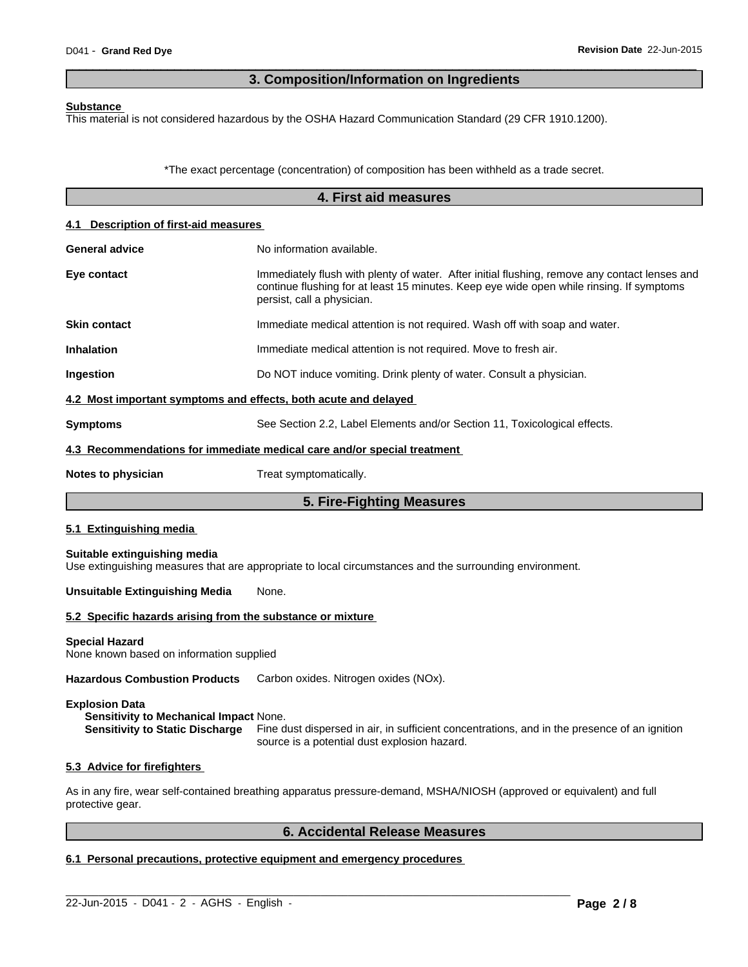### **3. Composition/Information on Ingredients**

 $\overline{\phantom{a}}$  ,  $\overline{\phantom{a}}$  ,  $\overline{\phantom{a}}$  ,  $\overline{\phantom{a}}$  ,  $\overline{\phantom{a}}$  ,  $\overline{\phantom{a}}$  ,  $\overline{\phantom{a}}$  ,  $\overline{\phantom{a}}$  ,  $\overline{\phantom{a}}$  ,  $\overline{\phantom{a}}$  ,  $\overline{\phantom{a}}$  ,  $\overline{\phantom{a}}$  ,  $\overline{\phantom{a}}$  ,  $\overline{\phantom{a}}$  ,  $\overline{\phantom{a}}$  ,  $\overline{\phantom{a}}$ 

#### **Substance**

This material is not considered hazardous by the OSHA Hazard Communication Standard (29 CFR 1910.1200).

\*The exact percentage (concentration) of composition has been withheld as a trade secret.

|                                                                                                                  | 4. First aid measures                                                                                                                                                                                                   |
|------------------------------------------------------------------------------------------------------------------|-------------------------------------------------------------------------------------------------------------------------------------------------------------------------------------------------------------------------|
| 4.1 Description of first-aid measures                                                                            |                                                                                                                                                                                                                         |
| <b>General advice</b>                                                                                            | No information available.                                                                                                                                                                                               |
| Eye contact                                                                                                      | Immediately flush with plenty of water. After initial flushing, remove any contact lenses and<br>continue flushing for at least 15 minutes. Keep eye wide open while rinsing. If symptoms<br>persist, call a physician. |
| <b>Skin contact</b>                                                                                              | Immediate medical attention is not required. Wash off with soap and water.                                                                                                                                              |
| <b>Inhalation</b>                                                                                                | Immediate medical attention is not required. Move to fresh air.                                                                                                                                                         |
| Ingestion                                                                                                        | Do NOT induce vomiting. Drink plenty of water. Consult a physician.                                                                                                                                                     |
| 4.2 Most important symptoms and effects, both acute and delayed                                                  |                                                                                                                                                                                                                         |
| <b>Symptoms</b>                                                                                                  | See Section 2.2, Label Elements and/or Section 11, Toxicological effects.                                                                                                                                               |
|                                                                                                                  | 4.3 Recommendations for immediate medical care and/or special treatment                                                                                                                                                 |
| Notes to physician                                                                                               | Treat symptomatically.                                                                                                                                                                                                  |
|                                                                                                                  | 5. Fire-Fighting Measures                                                                                                                                                                                               |
| 5.1 Extinguishing media                                                                                          |                                                                                                                                                                                                                         |
| Suitable extinguishing media                                                                                     | Use extinguishing measures that are appropriate to local circumstances and the surrounding environment.                                                                                                                 |
| <b>Unsuitable Extinguishing Media</b>                                                                            | None.                                                                                                                                                                                                                   |
| 5.2 Specific hazards arising from the substance or mixture                                                       |                                                                                                                                                                                                                         |
| <b>Special Hazard</b><br>None known based on information supplied                                                |                                                                                                                                                                                                                         |
| <b>Hazardous Combustion Products</b>                                                                             | Carbon oxides. Nitrogen oxides (NOx).                                                                                                                                                                                   |
| <b>Explosion Data</b><br>Sensitivity to Mechanical Impact None.<br>$\sim$ 0.000 $\sim$ 0.000 $\sim$ 0.000 $\sim$ | المنابي والمستنقذ فالأهراب والمستعادة والمتعاد والمستعادة والمستعادة والمستعادة والمستعادة والمستعادة                                                                                                                   |

**Sensitivity to Static Discharge** Fine dust dispersed in air, in sufficient concentrations, and in the presence of an ignition source is a potential dust explosion hazard.

#### **5.3 Advice for firefighters**

As in any fire, wear self-contained breathing apparatus pressure-demand, MSHA/NIOSH (approved or equivalent) and full protective gear.

 $\_$  ,  $\_$  ,  $\_$  ,  $\_$  ,  $\_$  ,  $\_$  ,  $\_$  ,  $\_$  ,  $\_$  ,  $\_$  ,  $\_$  ,  $\_$  ,  $\_$  ,  $\_$  ,  $\_$  ,  $\_$  ,  $\_$  ,  $\_$  ,  $\_$  ,  $\_$  ,  $\_$  ,  $\_$  ,  $\_$  ,  $\_$  ,  $\_$  ,  $\_$  ,  $\_$  ,  $\_$  ,  $\_$  ,  $\_$  ,  $\_$  ,  $\_$  ,  $\_$  ,  $\_$  ,  $\_$  ,  $\_$  ,  $\_$  ,

### **6. Accidental Release Measures**

### **6.1 Personal precautions, protective equipment and emergency procedures**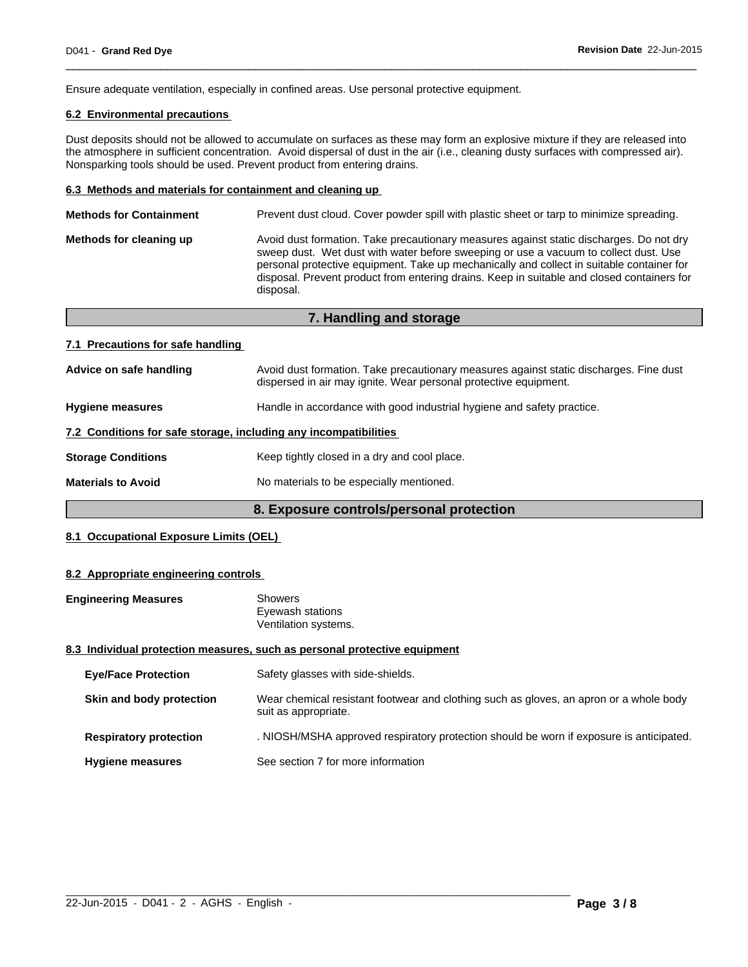Ensure adequate ventilation, especially in confined areas. Use personal protective equipment.

### **6.2 Environmental precautions**

Dust deposits should not be allowed to accumulate on surfaces as these may form an explosive mixture if they are released into the atmosphere in sufficient concentration. Avoid dispersal of dust in the air (i.e., cleaning dusty surfaces with compressed air). Nonsparking tools should be used. Prevent product from entering drains.

 $\overline{\phantom{a}}$  ,  $\overline{\phantom{a}}$  ,  $\overline{\phantom{a}}$  ,  $\overline{\phantom{a}}$  ,  $\overline{\phantom{a}}$  ,  $\overline{\phantom{a}}$  ,  $\overline{\phantom{a}}$  ,  $\overline{\phantom{a}}$  ,  $\overline{\phantom{a}}$  ,  $\overline{\phantom{a}}$  ,  $\overline{\phantom{a}}$  ,  $\overline{\phantom{a}}$  ,  $\overline{\phantom{a}}$  ,  $\overline{\phantom{a}}$  ,  $\overline{\phantom{a}}$  ,  $\overline{\phantom{a}}$ 

#### **6.3 Methods and materials for containment and cleaning up**

| <b>Methods for Containment</b> | Prevent dust cloud. Cover powder spill with plastic sheet or tarp to minimize spreading.                                                                                                                                                                                                                                                                                                |
|--------------------------------|-----------------------------------------------------------------------------------------------------------------------------------------------------------------------------------------------------------------------------------------------------------------------------------------------------------------------------------------------------------------------------------------|
| Methods for cleaning up        | Avoid dust formation. Take precautionary measures against static discharges. Do not dry<br>sweep dust. Wet dust with water before sweeping or use a vacuum to collect dust. Use<br>personal protective equipment. Take up mechanically and collect in suitable container for<br>disposal. Prevent product from entering drains. Keep in suitable and closed containers for<br>disposal. |
|                                |                                                                                                                                                                                                                                                                                                                                                                                         |

|                                                                  | 7. Handling and storage                                                                                                                                    |
|------------------------------------------------------------------|------------------------------------------------------------------------------------------------------------------------------------------------------------|
| 7.1 Precautions for safe handling                                |                                                                                                                                                            |
| Advice on safe handling                                          | Avoid dust formation. Take precautionary measures against static discharges. Fine dust<br>dispersed in air may ignite. Wear personal protective equipment. |
| <b>Hygiene measures</b>                                          | Handle in accordance with good industrial hygiene and safety practice.                                                                                     |
| 7.2 Conditions for safe storage, including any incompatibilities |                                                                                                                                                            |
| <b>Storage Conditions</b>                                        | Keep tightly closed in a dry and cool place.                                                                                                               |
| <b>Materials to Avoid</b>                                        | No materials to be especially mentioned.                                                                                                                   |

### **8. Exposure controls/personal protection**

### **8.1 Occupational Exposure Limits (OEL)**

#### **8.2 Appropriate engineering controls**

| <b>Engineering Measures</b> | <b>Showers</b>       |
|-----------------------------|----------------------|
|                             | Eyewash stations     |
|                             | Ventilation systems. |
|                             |                      |

#### **8.3 Individual protection measures, such as personal protective equipment**

| <b>Eye/Face Protection</b>    | Safety glasses with side-shields.                                                                              |
|-------------------------------|----------------------------------------------------------------------------------------------------------------|
| Skin and body protection      | Wear chemical resistant footwear and clothing such as gloves, an apron or a whole body<br>suit as appropriate. |
| <b>Respiratory protection</b> | . NIOSH/MSHA approved respiratory protection should be worn if exposure is anticipated.                        |
| <b>Hygiene measures</b>       | See section 7 for more information                                                                             |

 $\_$  ,  $\_$  ,  $\_$  ,  $\_$  ,  $\_$  ,  $\_$  ,  $\_$  ,  $\_$  ,  $\_$  ,  $\_$  ,  $\_$  ,  $\_$  ,  $\_$  ,  $\_$  ,  $\_$  ,  $\_$  ,  $\_$  ,  $\_$  ,  $\_$  ,  $\_$  ,  $\_$  ,  $\_$  ,  $\_$  ,  $\_$  ,  $\_$  ,  $\_$  ,  $\_$  ,  $\_$  ,  $\_$  ,  $\_$  ,  $\_$  ,  $\_$  ,  $\_$  ,  $\_$  ,  $\_$  ,  $\_$  ,  $\_$  ,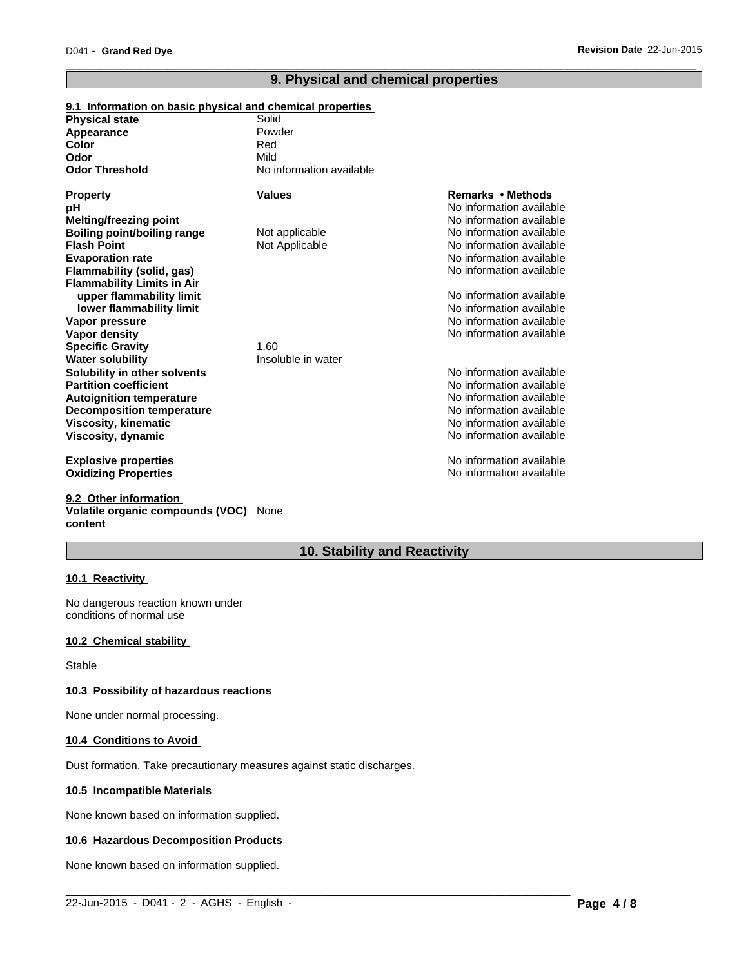### **9. Physical and chemical properties**

 $\overline{\phantom{a}}$  ,  $\overline{\phantom{a}}$  ,  $\overline{\phantom{a}}$  ,  $\overline{\phantom{a}}$  ,  $\overline{\phantom{a}}$  ,  $\overline{\phantom{a}}$  ,  $\overline{\phantom{a}}$  ,  $\overline{\phantom{a}}$  ,  $\overline{\phantom{a}}$  ,  $\overline{\phantom{a}}$  ,  $\overline{\phantom{a}}$  ,  $\overline{\phantom{a}}$  ,  $\overline{\phantom{a}}$  ,  $\overline{\phantom{a}}$  ,  $\overline{\phantom{a}}$  ,  $\overline{\phantom{a}}$ 

| 9.1 Information on basic physical and chemical properties |                          |                          |
|-----------------------------------------------------------|--------------------------|--------------------------|
| <b>Physical state</b>                                     | Solid                    |                          |
| Appearance                                                | Powder                   |                          |
| Color                                                     | Red                      |                          |
| Odor                                                      | Mild                     |                          |
| <b>Odor Threshold</b>                                     | No information available |                          |
| Property                                                  | Values                   | Remarks • Methods        |
| pН                                                        |                          | No information available |
| Melting/freezing point                                    |                          | No information available |
| <b>Boiling point/boiling range</b>                        | Not applicable           | No information available |
| <b>Flash Point</b>                                        | Not Applicable           | No information available |
| <b>Evaporation rate</b>                                   |                          | No information available |
| Flammability (solid, gas)                                 |                          | No information available |
| <b>Flammability Limits in Air</b>                         |                          |                          |
| upper flammability limit                                  |                          | No information available |
| lower flammability limit                                  |                          | No information available |
| Vapor pressure                                            |                          | No information available |
| Vapor density                                             |                          | No information available |
| <b>Specific Gravity</b>                                   | 1.60                     |                          |
| Water solubility                                          | Insoluble in water       |                          |
| Solubility in other solvents                              |                          | No information available |
| <b>Partition coefficient</b>                              |                          | No information available |
| <b>Autoignition temperature</b>                           |                          | No information available |
| <b>Decomposition temperature</b>                          |                          | No information available |
| Viscosity, kinematic                                      |                          | No information available |
| Viscosity, dynamic                                        |                          | No information available |
| <b>Explosive properties</b>                               |                          | No information available |
| Oxidizing Properties                                      |                          | No information available |
|                                                           |                          |                          |

**9.2 Other information Volatile organic compounds (VOC)** None **content**

### **10. Stability and Reactivity**

 $\_$  ,  $\_$  ,  $\_$  ,  $\_$  ,  $\_$  ,  $\_$  ,  $\_$  ,  $\_$  ,  $\_$  ,  $\_$  ,  $\_$  ,  $\_$  ,  $\_$  ,  $\_$  ,  $\_$  ,  $\_$  ,  $\_$  ,  $\_$  ,  $\_$  ,  $\_$  ,  $\_$  ,  $\_$  ,  $\_$  ,  $\_$  ,  $\_$  ,  $\_$  ,  $\_$  ,  $\_$  ,  $\_$  ,  $\_$  ,  $\_$  ,  $\_$  ,  $\_$  ,  $\_$  ,  $\_$  ,  $\_$  ,  $\_$  ,

### **10.1 Reactivity**

No dangerous reaction known under conditions of normal use

#### **10.2 Chemical stability**

Stable

### **10.3 Possibility of hazardous reactions**

None under normal processing.

#### **10.4 Conditions to Avoid**

Dust formation. Take precautionary measures against static discharges.

#### **10.5 Incompatible Materials**

None known based on information supplied.

#### **10.6 Hazardous Decomposition Products**

None known based on information supplied.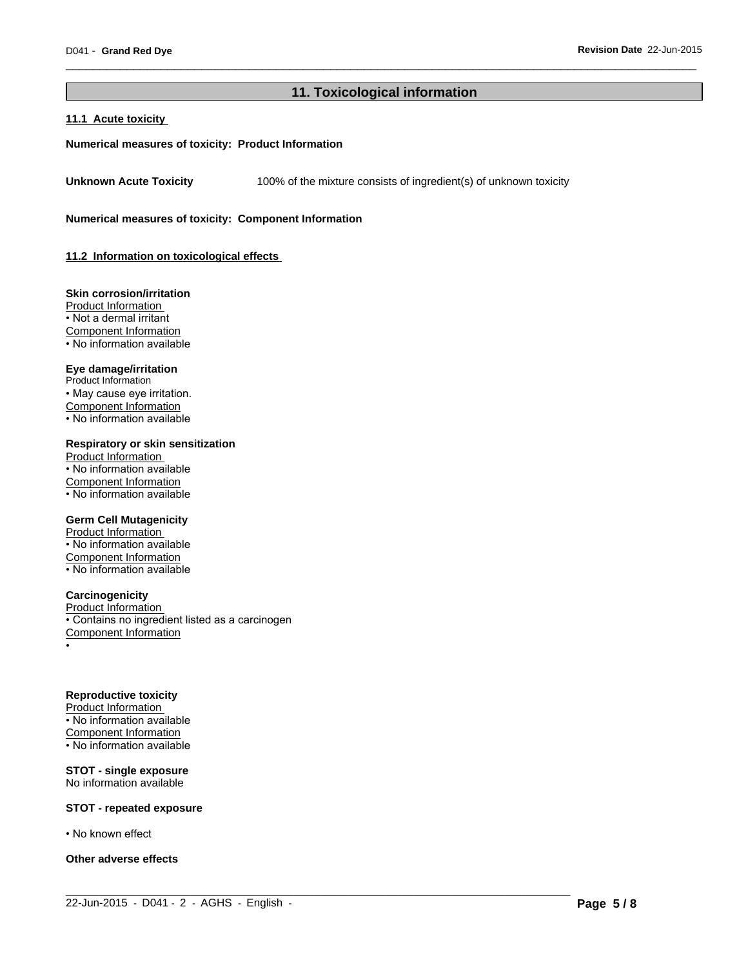### **11. Toxicological information**

 $\_$  ,  $\_$  ,  $\_$  ,  $\_$  ,  $\_$  ,  $\_$  ,  $\_$  ,  $\_$  ,  $\_$  ,  $\_$  ,  $\_$  ,  $\_$  ,  $\_$  ,  $\_$  ,  $\_$  ,  $\_$  ,  $\_$  ,  $\_$  ,  $\_$  ,  $\_$  ,  $\_$  ,  $\_$  ,  $\_$  ,  $\_$  ,  $\_$  ,  $\_$  ,  $\_$  ,  $\_$  ,  $\_$  ,  $\_$  ,  $\_$  ,  $\_$  ,  $\_$  ,  $\_$  ,  $\_$  ,  $\_$  ,  $\_$  ,

 $\overline{\phantom{a}}$  ,  $\overline{\phantom{a}}$  ,  $\overline{\phantom{a}}$  ,  $\overline{\phantom{a}}$  ,  $\overline{\phantom{a}}$  ,  $\overline{\phantom{a}}$  ,  $\overline{\phantom{a}}$  ,  $\overline{\phantom{a}}$  ,  $\overline{\phantom{a}}$  ,  $\overline{\phantom{a}}$  ,  $\overline{\phantom{a}}$  ,  $\overline{\phantom{a}}$  ,  $\overline{\phantom{a}}$  ,  $\overline{\phantom{a}}$  ,  $\overline{\phantom{a}}$  ,  $\overline{\phantom{a}}$ 

#### **11.1 Acute toxicity**

#### **Numerical measures of toxicity: Product Information**

**Unknown Acute Toxicity** 100% of the mixture consists of ingredient(s) of unknown toxicity

**Numerical measures of toxicity: Component Information**

**11.2 Information on toxicological effects** 

#### **Skin corrosion/irritation**

Product Information • Not a dermal irritant Component Information • No information available

### **Eye damage/irritation**

Product Information • May cause eye irritation. Component Information • No information available

#### **Respiratory or skin sensitization**

Product Information • No information available Component Information • No information available

#### **Germ Cell Mutagenicity**

Product Information • No information available Component Information • No information available

#### **Carcinogenicity**

Product Information • Contains no ingredient listed as a carcinogen Component Information •

#### **Reproductive toxicity**

Product Information • No information available Component Information  $\cdot$  No information available

#### **STOT - single exposure** No information available

#### **STOT - repeated exposure**

• No known effect

**Other adverse effects**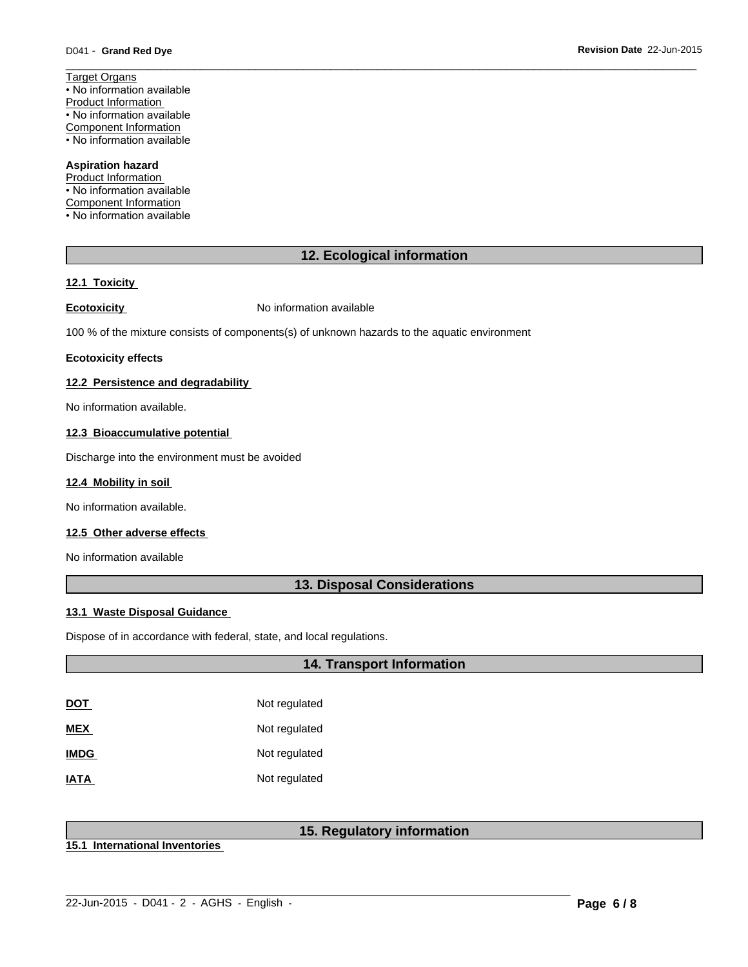**Revision Date** 22-Jun-2015

Target Organs • No information available Product Information • No information available Component Information • No information available

### **Aspiration hazard**

Product Information • No information available Component Information • No information available

### **12. Ecological information**

 $\overline{\phantom{a}}$  ,  $\overline{\phantom{a}}$  ,  $\overline{\phantom{a}}$  ,  $\overline{\phantom{a}}$  ,  $\overline{\phantom{a}}$  ,  $\overline{\phantom{a}}$  ,  $\overline{\phantom{a}}$  ,  $\overline{\phantom{a}}$  ,  $\overline{\phantom{a}}$  ,  $\overline{\phantom{a}}$  ,  $\overline{\phantom{a}}$  ,  $\overline{\phantom{a}}$  ,  $\overline{\phantom{a}}$  ,  $\overline{\phantom{a}}$  ,  $\overline{\phantom{a}}$  ,  $\overline{\phantom{a}}$ 

#### **12.1 Toxicity**

**Ecotoxicity No information available** 

100 % of the mixture consists of components(s) of unknown hazards to the aquatic environment

#### **Ecotoxicity effects**

#### **12.2 Persistence and degradability**

No information available.

#### **12.3 Bioaccumulative potential**

Discharge into the environment must be avoided

#### **12.4 Mobility in soil**

No information available.

### **12.5 Other adverse effects**

No information available

### **13. Disposal Considerations**

#### **13.1 Waste Disposal Guidance**

Dispose of in accordance with federal, state, and local regulations.

### **14. Transport Information**

| DOT         | Not regulated |
|-------------|---------------|
| <b>MEX</b>  | Not regulated |
| <b>IMDG</b> | Not regulated |
| <u>IATA</u> | Not regulated |

### **15. Regulatory information**

 $\_$  ,  $\_$  ,  $\_$  ,  $\_$  ,  $\_$  ,  $\_$  ,  $\_$  ,  $\_$  ,  $\_$  ,  $\_$  ,  $\_$  ,  $\_$  ,  $\_$  ,  $\_$  ,  $\_$  ,  $\_$  ,  $\_$  ,  $\_$  ,  $\_$  ,  $\_$  ,  $\_$  ,  $\_$  ,  $\_$  ,  $\_$  ,  $\_$  ,  $\_$  ,  $\_$  ,  $\_$  ,  $\_$  ,  $\_$  ,  $\_$  ,  $\_$  ,  $\_$  ,  $\_$  ,  $\_$  ,  $\_$  ,  $\_$  ,

**15.1 International Inventories**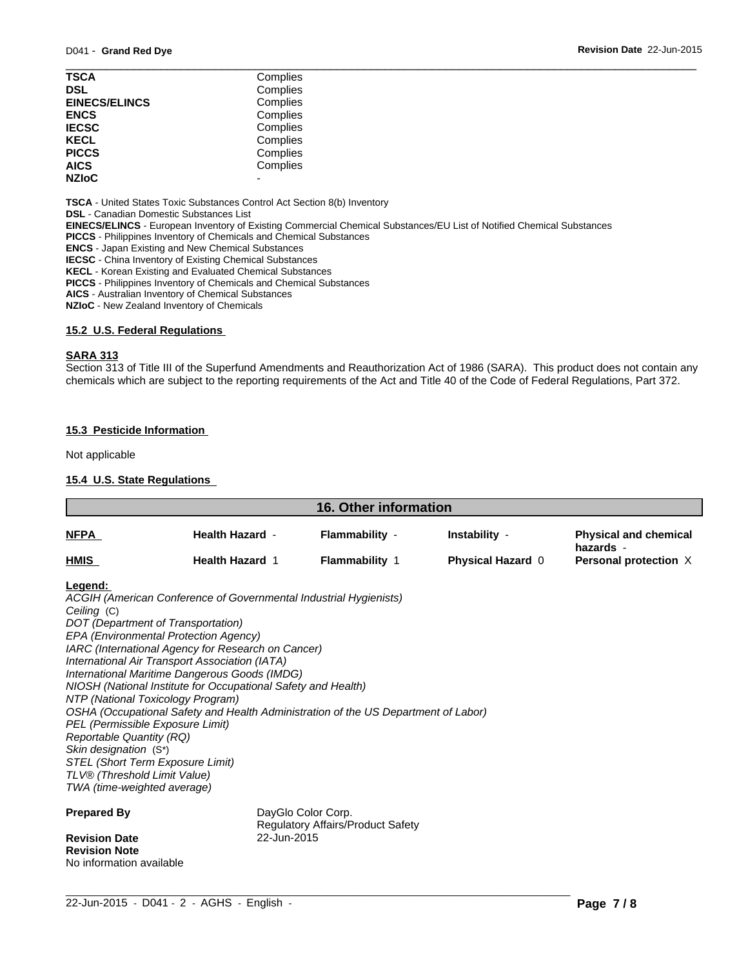| <b>TSCA</b>          | Complies |  |
|----------------------|----------|--|
| <b>DSL</b>           | Complies |  |
| <b>EINECS/ELINCS</b> | Complies |  |
| <b>ENCS</b>          | Complies |  |
| <b>IECSC</b>         | Complies |  |
| <b>KECL</b>          | Complies |  |
| <b>PICCS</b>         | Complies |  |
| <b>AICS</b>          | Complies |  |
| <b>NZIoC</b>         |          |  |
|                      |          |  |

**TSCA** - United States Toxic Substances Control Act Section 8(b) Inventory

**DSL** - Canadian Domestic Substances List

**EINECS/ELINCS** - European Inventory of Existing Commercial Chemical Substances/EU List of Notified Chemical Substances

**PICCS** - Philippines Inventory of Chemicals and Chemical Substances

**ENCS** - Japan Existing and New Chemical Substances

**IECSC** - China Inventory of Existing Chemical Substances

**KECL** - Korean Existing and Evaluated Chemical Substances

**PICCS** - Philippines Inventory of Chemicals and Chemical Substances

**AICS** - Australian Inventory of Chemical Substances

**NZIoC** - New Zealand Inventory of Chemicals

#### **15.2 U.S. Federal Regulations**

#### **SARA 313**

Section 313 of Title III of the Superfund Amendments and Reauthorization Act of 1986 (SARA). This product does not contain any chemicals which are subject to the reporting requirements of the Act and Title 40 of the Code of Federal Regulations, Part 372.

#### **15.3 Pesticide Information**

Not applicable

#### **15.4 U.S. State Regulations**

| <b>16. Other information</b>                                                                                                                      |                                                                                                                                                                                                                                                                                                                                                                                                                                                                                                                                                                               |                                                         |                                    |                                                                    |
|---------------------------------------------------------------------------------------------------------------------------------------------------|-------------------------------------------------------------------------------------------------------------------------------------------------------------------------------------------------------------------------------------------------------------------------------------------------------------------------------------------------------------------------------------------------------------------------------------------------------------------------------------------------------------------------------------------------------------------------------|---------------------------------------------------------|------------------------------------|--------------------------------------------------------------------|
| <b>NFPA</b>                                                                                                                                       | <b>Health Hazard -</b><br><b>Health Hazard 1</b>                                                                                                                                                                                                                                                                                                                                                                                                                                                                                                                              | Flammability -<br><b>Flammability 1</b>                 | Instability -<br>Physical Hazard 0 | <b>Physical and chemical</b><br>hazards -<br>Personal protection X |
| <b>HMIS</b>                                                                                                                                       |                                                                                                                                                                                                                                                                                                                                                                                                                                                                                                                                                                               |                                                         |                                    |                                                                    |
| Legend:<br>Ceiling (C)<br><b>Reportable Quantity (RQ)</b><br>Skin designation (S*)<br>TLV® (Threshold Limit Value)<br>TWA (time-weighted average) | ACGIH (American Conference of Governmental Industrial Hygienists)<br>DOT (Department of Transportation)<br>EPA (Environmental Protection Agency)<br>IARC (International Agency for Research on Cancer)<br>International Air Transport Association (IATA)<br>International Maritime Dangerous Goods (IMDG)<br>NIOSH (National Institute for Occupational Safety and Health)<br>NTP (National Toxicology Program)<br>OSHA (Occupational Safety and Health Administration of the US Department of Labor)<br>PEL (Permissible Exposure Limit)<br>STEL (Short Term Exposure Limit) |                                                         |                                    |                                                                    |
| <b>Prepared By</b><br><b>Revision Date</b>                                                                                                        | 22-Jun-2015                                                                                                                                                                                                                                                                                                                                                                                                                                                                                                                                                                   | DayGlo Color Corp.<br>Regulatory Affairs/Product Safety |                                    |                                                                    |
| <b>Revision Note</b>                                                                                                                              |                                                                                                                                                                                                                                                                                                                                                                                                                                                                                                                                                                               |                                                         |                                    |                                                                    |

 $\_$  ,  $\_$  ,  $\_$  ,  $\_$  ,  $\_$  ,  $\_$  ,  $\_$  ,  $\_$  ,  $\_$  ,  $\_$  ,  $\_$  ,  $\_$  ,  $\_$  ,  $\_$  ,  $\_$  ,  $\_$  ,  $\_$  ,  $\_$  ,  $\_$  ,  $\_$  ,  $\_$  ,  $\_$  ,  $\_$  ,  $\_$  ,  $\_$  ,  $\_$  ,  $\_$  ,  $\_$  ,  $\_$  ,  $\_$  ,  $\_$  ,  $\_$  ,  $\_$  ,  $\_$  ,  $\_$  ,  $\_$  ,  $\_$  ,

No information available